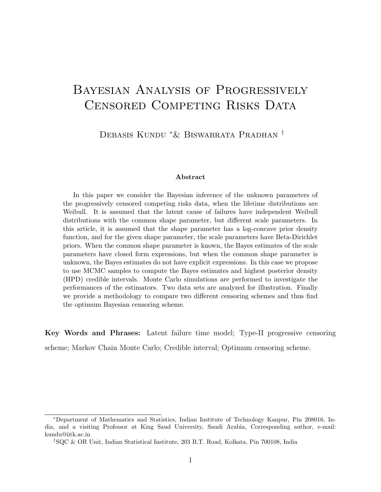# Bayesian Analysis of Progressively CENSORED COMPETING RISKS DATA

Debasis Kundu <sup>∗</sup>& Biswabrata Pradhan †

#### Abstract

In this paper we consider the Bayesian inference of the unknown parameters of the progressively censored competing risks data, when the lifetime distributions are Weibull. It is assumed that the latent cause of failures have independent Weibull distributions with the common shape parameter, but different scale parameters. In this article, it is assumed that the shape parameter has a log-concave prior density function, and for the given shape parameter, the scale parameters have Beta-Dirichlet priors. When the common shape parameter is known, the Bayes estimates of the scale parameters have closed form expressions, but when the common shape parameter is unknown, the Bayes estimates do not have explicit expressions. In this case we propose to use MCMC samples to compute the Bayes estimates and highest posterior density (HPD) credible intervals. Monte Carlo simulations are performed to investigate the performances of the estimators. Two data sets are analyzed for illustration. Finally we provide a methodology to compare two different censoring schemes and thus find the optimum Bayesian censoring scheme.

Key Words and Phrases: Latent failure time model; Type-II progressive censoring scheme; Markov Chain Monte Carlo; Credible interval; Optimum censoring scheme.

<sup>∗</sup>Department of Mathematics and Statistics, Indian Institute of Technology Kanpur, Pin 208016, India, and a visiting Professor at King Saud University, Saudi Arabia, Corresponding author, e-mail: kundu@iitk.ac.in

<sup>†</sup>SQC & OR Unit, Indian Statistical Institute, 203 B.T. Road, Kolkata, Pin 700108, India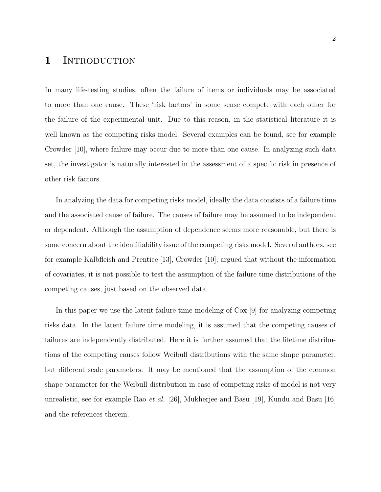### 1 INTRODUCTION

In many life-testing studies, often the failure of items or individuals may be associated to more than one cause. These 'risk factors' in some sense compete with each other for the failure of the experimental unit. Due to this reason, in the statistical literature it is well known as the competing risks model. Several examples can be found, see for example Crowder [10], where failure may occur due to more than one cause. In analyzing such data set, the investigator is naturally interested in the assessment of a specific risk in presence of other risk factors.

In analyzing the data for competing risks model, ideally the data consists of a failure time and the associated cause of failure. The causes of failure may be assumed to be independent or dependent. Although the assumption of dependence seems more reasonable, but there is some concern about the identifiability issue of the competing risks model. Several authors, see for example Kalbfleish and Prentice [13], Crowder [10], argued that without the information of covariates, it is not possible to test the assumption of the failure time distributions of the competing causes, just based on the observed data.

In this paper we use the latent failure time modeling of Cox [9] for analyzing competing risks data. In the latent failure time modeling, it is assumed that the competing causes of failures are independently distributed. Here it is further assumed that the lifetime distributions of the competing causes follow Weibull distributions with the same shape parameter, but different scale parameters. It may be mentioned that the assumption of the common shape parameter for the Weibull distribution in case of competing risks of model is not very unrealistic, see for example Rao et al. [26], Mukherjee and Basu [19], Kundu and Basu [16] and the references therein.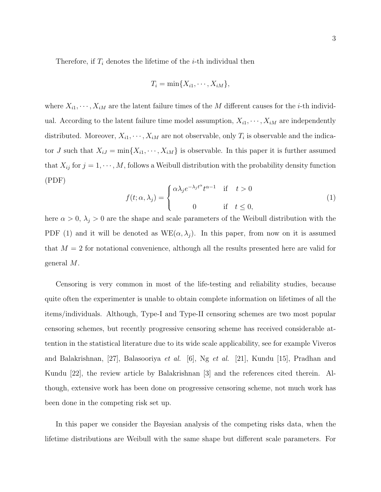Therefore, if  $T_i$  denotes the lifetime of the *i*-th individual then

$$
T_i = \min\{X_{i1}, \cdots, X_{iM}\},\
$$

where  $X_{i1}, \dots, X_{iM}$  are the latent failure times of the M different causes for the *i*-th individual. According to the latent failure time model assumption,  $X_{i1}, \dots, X_{iM}$  are independently distributed. Moreover,  $X_{i1}, \dots, X_{iM}$  are not observable, only  $T_i$  is observable and the indicator J such that  $X_{i,j} = \min\{X_{i1}, \dots, X_{iM}\}\$ is observable. In this paper it is further assumed that  $X_{ij}$  for  $j = 1, \dots, M$ , follows a Weibull distribution with the probability density function (PDF)

$$
f(t; \alpha, \lambda_j) = \begin{cases} \alpha \lambda_j e^{-\lambda_j t^{\alpha}} t^{\alpha - 1} & \text{if } t > 0 \\ 0 & \text{if } t \le 0, \end{cases}
$$
 (1)

here  $\alpha > 0$ ,  $\lambda_j > 0$  are the shape and scale parameters of the Weibull distribution with the PDF (1) and it will be denoted as  $WE(\alpha, \lambda_j)$ . In this paper, from now on it is assumed that  $M = 2$  for notational convenience, although all the results presented here are valid for general M.

Censoring is very common in most of the life-testing and reliability studies, because quite often the experimenter is unable to obtain complete information on lifetimes of all the items/individuals. Although, Type-I and Type-II censoring schemes are two most popular censoring schemes, but recently progressive censoring scheme has received considerable attention in the statistical literature due to its wide scale applicability, see for example Viveros and Balakrishnan, [27], Balasooriya et al. [6], Ng et al. [21], Kundu [15], Pradhan and Kundu [22], the review article by Balakrishnan [3] and the references cited therein. Although, extensive work has been done on progressive censoring scheme, not much work has been done in the competing risk set up.

In this paper we consider the Bayesian analysis of the competing risks data, when the lifetime distributions are Weibull with the same shape but different scale parameters. For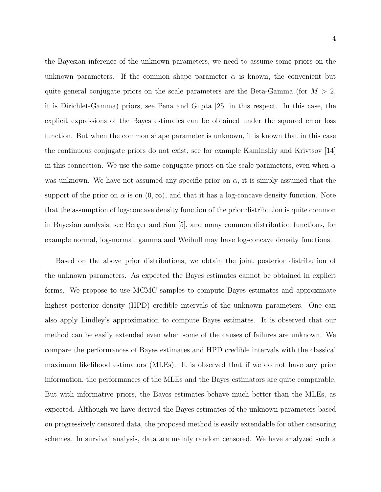the Bayesian inference of the unknown parameters, we need to assume some priors on the unknown parameters. If the common shape parameter  $\alpha$  is known, the convenient but quite general conjugate priors on the scale parameters are the Beta-Gamma (for  $M > 2$ , it is Dirichlet-Gamma) priors, see Pena and Gupta [25] in this respect. In this case, the explicit expressions of the Bayes estimates can be obtained under the squared error loss function. But when the common shape parameter is unknown, it is known that in this case the continuous conjugate priors do not exist, see for example Kaminskiy and Krivtsov [14] in this connection. We use the same conjugate priors on the scale parameters, even when  $\alpha$ was unknown. We have not assumed any specific prior on  $\alpha$ , it is simply assumed that the support of the prior on  $\alpha$  is on  $(0,\infty)$ , and that it has a log-concave density function. Note that the assumption of log-concave density function of the prior distribution is quite common in Bayesian analysis, see Berger and Sun [5], and many common distribution functions, for example normal, log-normal, gamma and Weibull may have log-concave density functions.

Based on the above prior distributions, we obtain the joint posterior distribution of the unknown parameters. As expected the Bayes estimates cannot be obtained in explicit forms. We propose to use MCMC samples to compute Bayes estimates and approximate highest posterior density (HPD) credible intervals of the unknown parameters. One can also apply Lindley's approximation to compute Bayes estimates. It is observed that our method can be easily extended even when some of the causes of failures are unknown. We compare the performances of Bayes estimates and HPD credible intervals with the classical maximum likelihood estimators (MLEs). It is observed that if we do not have any prior information, the performances of the MLEs and the Bayes estimators are quite comparable. But with informative priors, the Bayes estimates behave much better than the MLEs, as expected. Although we have derived the Bayes estimates of the unknown parameters based on progressively censored data, the proposed method is easily extendable for other censoring schemes. In survival analysis, data are mainly random censored. We have analyzed such a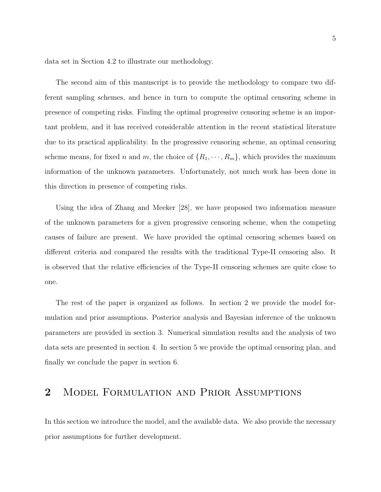data set in Section 4.2 to illustrate our methodology.

The second aim of this manuscript is to provide the methodology to compare two different sampling schemes, and hence in turn to compute the optimal censoring scheme in presence of competing risks. Finding the optimal progressive censoring scheme is an important problem, and it has received considerable attention in the recent statistical literature due to its practical applicability. In the progressive censoring scheme, an optimal censoring scheme means, for fixed n and m, the choice of  $\{R_1, \dots, R_m\}$ , which provides the maximum information of the unknown parameters. Unfortunately, not much work has been done in this direction in presence of competing risks.

Using the idea of Zhang and Meeker [28], we have proposed two information measure of the unknown parameters for a given progressive censoring scheme, when the competing causes of failure are present. We have provided the optimal censoring schemes based on different criteria and compared the results with the traditional Type-II censoring also. It is observed that the relative efficiencies of the Type-II censoring schemes are quite close to one.

The rest of the paper is organized as follows. In section 2 we provide the model formulation and prior assumptions. Posterior analysis and Bayesian inference of the unknown parameters are provided in section 3. Numerical simulation results and the analysis of two data sets are presented in section 4. In section 5 we provide the optimal censoring plan, and finally we conclude the paper in section 6.

# 2 Model Formulation and Prior Assumptions

In this section we introduce the model, and the available data. We also provide the necessary prior assumptions for further development.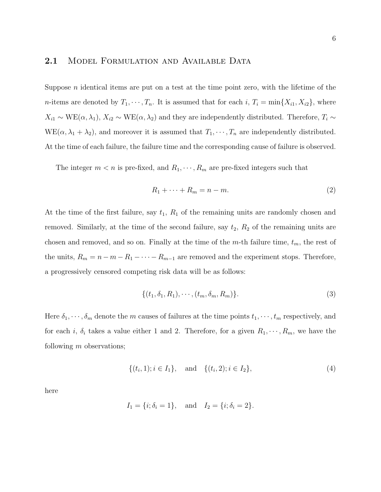#### 2.1 MODEL FORMULATION AND AVAILABLE DATA

Suppose  $n$  identical items are put on a test at the time point zero, with the lifetime of the *n*-items are denoted by  $T_1, \dots, T_n$ . It is assumed that for each i,  $T_i = \min\{X_{i1}, X_{i2}\}\)$ , where  $X_{i1} \sim \text{WE}(\alpha, \lambda_1), X_{i2} \sim \text{WE}(\alpha, \lambda_2)$  and they are independently distributed. Therefore,  $T_i \sim$  $WE(\alpha, \lambda_1 + \lambda_2)$ , and moreover it is assumed that  $T_1, \dots, T_n$  are independently distributed. At the time of each failure, the failure time and the corresponding cause of failure is observed.

The integer  $m < n$  is pre-fixed, and  $R_1, \dots, R_m$  are pre-fixed integers such that

$$
R_1 + \dots + R_m = n - m. \tag{2}
$$

At the time of the first failure, say  $t_1$ ,  $R_1$  of the remaining units are randomly chosen and removed. Similarly, at the time of the second failure, say  $t_2$ ,  $R_2$  of the remaining units are chosen and removed, and so on. Finally at the time of the m-th failure time,  $t_m$ , the rest of the units,  $R_m = n - m - R_1 - \cdots - R_{m-1}$  are removed and the experiment stops. Therefore, a progressively censored competing risk data will be as follows:

$$
\{(t_1, \delta_1, R_1), \cdots, (t_m, \delta_m, R_m)\}.
$$
 (3)

Here  $\delta_1, \dots, \delta_m$  denote the m causes of failures at the time points  $t_1, \dots, t_m$  respectively, and for each i,  $\delta_i$  takes a value either 1 and 2. Therefore, for a given  $R_1, \dots, R_m$ , we have the following  $m$  observations;

$$
\{(t_i, 1); i \in I_1\}, \text{ and } \{(t_i, 2); i \in I_2\},\tag{4}
$$

here

$$
I_1 = \{i; \delta_i = 1\}
$$
, and  $I_2 = \{i; \delta_i = 2\}$ .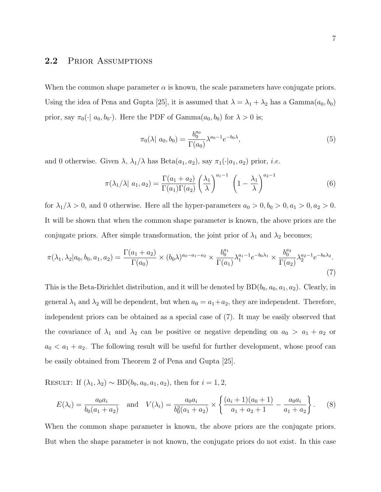#### 2.2 PRIOR ASSUMPTIONS

When the common shape parameter  $\alpha$  is known, the scale parameters have conjugate priors. Using the idea of Pena and Gupta [25], it is assumed that  $\lambda = \lambda_1 + \lambda_2$  has a Gamma $(a_0, b_0)$ prior, say  $\pi_0(\cdot | a_0, b_0)$ . Here the PDF of Gamma $(a_0, b_0)$  for  $\lambda > 0$  is;

$$
\pi_0(\lambda | a_0, b_0) = \frac{b_0^{a_0}}{\Gamma(a_0)} \lambda^{a_0 - 1} e^{-b_0 \lambda}, \tag{5}
$$

and 0 otherwise. Given  $\lambda$ ,  $\lambda_1/\lambda$  has Beta $(a_1, a_2)$ , say  $\pi_1(\cdot|a_1, a_2)$  prior, *i.e.* 

$$
\pi(\lambda_1/\lambda \mid a_1, a_2) = \frac{\Gamma(a_1 + a_2)}{\Gamma(a_1)\Gamma(a_2)} \left(\frac{\lambda_1}{\lambda}\right)^{a_1 - 1} \left(1 - \frac{\lambda_1}{\lambda}\right)^{a_2 - 1} \tag{6}
$$

for  $\lambda_1/\lambda > 0$ , and 0 otherwise. Here all the hyper-parameters  $a_0 > 0, b_0 > 0, a_1 > 0, a_2 > 0$ . It will be shown that when the common shape parameter is known, the above priors are the conjugate priors. After simple transformation, the joint prior of  $\lambda_1$  and  $\lambda_2$  becomes;

$$
\pi(\lambda_1, \lambda_2 | a_0, b_0, a_1, a_2) = \frac{\Gamma(a_1 + a_2)}{\Gamma(a_0)} \times (b_0 \lambda)^{a_0 - a_1 - a_2} \times \frac{b_0^{a_1}}{\Gamma(a_1)} \lambda_1^{a_1 - 1} e^{-b_0 \lambda_1} \times \frac{b_0^{a_2}}{\Gamma(a_2)} \lambda_2^{a_2 - 1} e^{-b_0 \lambda_2}.
$$
\n(7)

This is the Beta-Dirichlet distribution, and it will be denoted by  $BD(b_0, a_0, a_1, a_2)$ . Clearly, in general  $\lambda_1$  and  $\lambda_2$  will be dependent, but when  $a_0 = a_1 + a_2$ , they are independent. Therefore, independent priors can be obtained as a special case of (7). It may be easily observed that the covariance of  $\lambda_1$  and  $\lambda_2$  can be positive or negative depending on  $a_0 > a_1 + a_2$  or  $a_0 < a_1 + a_2$ . The following result will be useful for further development, whose proof can be easily obtained from Theorem 2 of Pena and Gupta [25].

RESULT: If  $(\lambda_1, \lambda_2) \sim BD(b_0, a_0, a_1, a_2)$ , then for  $i = 1, 2$ ,

$$
E(\lambda_i) = \frac{a_0 a_i}{b_0 (a_1 + a_2)} \quad \text{and} \quad V(\lambda_i) = \frac{a_0 a_i}{b_0^2 (a_1 + a_2)} \times \left\{ \frac{(a_i + 1)(a_0 + 1)}{a_1 + a_2 + 1} - \frac{a_0 a_i}{a_1 + a_2} \right\}.
$$
 (8)

When the common shape parameter is known, the above priors are the conjugate priors. But when the shape parameter is not known, the conjugate priors do not exist. In this case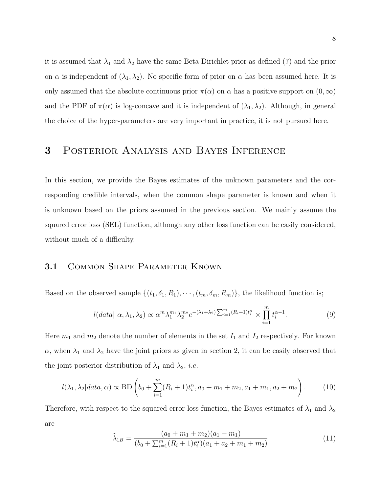it is assumed that  $\lambda_1$  and  $\lambda_2$  have the same Beta-Dirichlet prior as defined (7) and the prior on  $\alpha$  is independent of  $(\lambda_1, \lambda_2)$ . No specific form of prior on  $\alpha$  has been assumed here. It is only assumed that the absolute continuous prior  $\pi(\alpha)$  on  $\alpha$  has a positive support on  $(0,\infty)$ and the PDF of  $\pi(\alpha)$  is log-concave and it is independent of  $(\lambda_1, \lambda_2)$ . Although, in general the choice of the hyper-parameters are very important in practice, it is not pursued here.

### 3 Posterior Analysis and Bayes Inference

In this section, we provide the Bayes estimates of the unknown parameters and the corresponding credible intervals, when the common shape parameter is known and when it is unknown based on the priors assumed in the previous section. We mainly assume the squared error loss (SEL) function, although any other loss function can be easily considered, without much of a difficulty.

### 3.1 COMMON SHAPE PARAMETER KNOWN

Based on the observed sample  $\{(t_1, \delta_1, R_1), \cdots, (t_m, \delta_m, R_m)\}\)$ , the likelihood function is;

$$
l(data \mid \alpha, \lambda_1, \lambda_2) \propto \alpha^m \lambda_1^{m_1} \lambda_2^{m_2} e^{-(\lambda_1 + \lambda_2) \sum_{i=1}^m (R_i + 1) t_i^{\alpha}} \times \prod_{i=1}^m t_i^{\alpha - 1}.
$$
 (9)

Here  $m_1$  and  $m_2$  denote the number of elements in the set  $I_1$  and  $I_2$  respectively. For known  $\alpha$ , when  $\lambda_1$  and  $\lambda_2$  have the joint priors as given in section 2, it can be easily observed that the joint posterior distribution of  $\lambda_1$  and  $\lambda_2$ , *i.e.* 

$$
l(\lambda_1, \lambda_2 | data, \alpha) \propto \text{BD}\left(b_0 + \sum_{i=1}^m (R_i + 1)t_i^{\alpha}, a_0 + m_1 + m_2, a_1 + m_1, a_2 + m_2\right). \tag{10}
$$

Therefore, with respect to the squared error loss function, the Bayes estimates of  $\lambda_1$  and  $\lambda_2$ are

$$
\widehat{\lambda}_{1B} = \frac{(a_0 + m_1 + m_2)(a_1 + m_1)}{(b_0 + \sum_{i=1}^{m} (R_i + 1)t_i^{\alpha})(a_1 + a_2 + m_1 + m_2)}
$$
(11)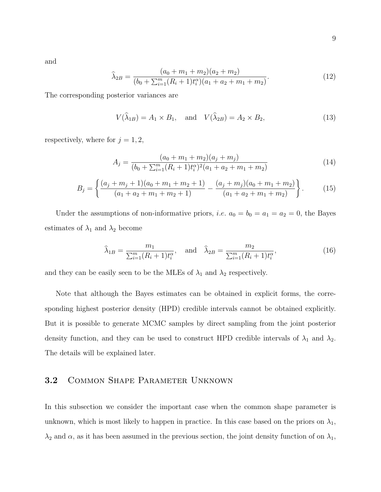and

$$
\widehat{\lambda}_{2B} = \frac{(a_0 + m_1 + m_2)(a_2 + m_2)}{(b_0 + \sum_{i=1}^{m} (R_i + 1)t_i^{\alpha})(a_1 + a_2 + m_1 + m_2)}.
$$
\n(12)

The corresponding posterior variances are

 $V(\lambda_{1B}) = A_1 \times B_1$ , and  $V(\lambda_{2B}) = A_2 \times B_2$ , (13)

respectively, where for  $j = 1, 2$ ,

$$
A_j = \frac{(a_0 + m_1 + m_2)(a_j + m_j)}{(b_0 + \sum_{i=1}^m (R_i + 1)t_i^{\alpha})^2 (a_1 + a_2 + m_1 + m_2)}
$$
(14)

$$
B_j = \left\{ \frac{(a_j + m_j + 1)(a_0 + m_1 + m_2 + 1)}{(a_1 + a_2 + m_1 + m_2 + 1)} - \frac{(a_j + m_j)(a_0 + m_1 + m_2)}{(a_1 + a_2 + m_1 + m_2)} \right\}.
$$
 (15)

Under the assumptions of non-informative priors, *i.e.*  $a_0 = b_0 = a_1 = a_2 = 0$ , the Bayes estimates of  $\lambda_1$  and  $\lambda_2$  become

$$
\widehat{\lambda}_{1B} = \frac{m_1}{\sum_{i=1}^m (R_i + 1)t_i^{\alpha}}, \quad \text{and} \quad \widehat{\lambda}_{2B} = \frac{m_2}{\sum_{i=1}^m (R_i + 1)t_i^{\alpha}}, \tag{16}
$$

and they can be easily seen to be the MLEs of  $\lambda_1$  and  $\lambda_2$  respectively.

Note that although the Bayes estimates can be obtained in explicit forms, the corresponding highest posterior density (HPD) credible intervals cannot be obtained explicitly. But it is possible to generate MCMC samples by direct sampling from the joint posterior density function, and they can be used to construct HPD credible intervals of  $\lambda_1$  and  $\lambda_2$ . The details will be explained later.

### 3.2 Common Shape Parameter Unknown

In this subsection we consider the important case when the common shape parameter is unknown, which is most likely to happen in practice. In this case based on the priors on  $\lambda_1$ ,  $\lambda_2$  and  $\alpha$ , as it has been assumed in the previous section, the joint density function of on  $\lambda_1$ ,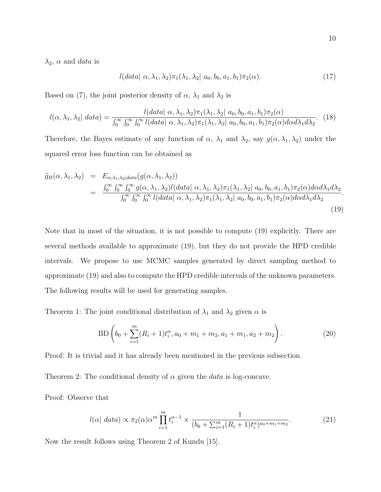10

 $\lambda_2$ ,  $\alpha$  and *data* is

$$
l(data \mid \alpha, \lambda_1, \lambda_2) \pi_1(\lambda_1, \lambda_2 \mid a_0, b_0, a_1, b_1) \pi_2(\alpha). \tag{17}
$$

Based on (7), the joint posterior density of  $\alpha$ ,  $\lambda_1$  and  $\lambda_2$  is

$$
l(\alpha,\lambda_1,\lambda_2| \text{ data}) = \frac{l(data | \alpha,\lambda_1,\lambda_2)\pi_1(\lambda_1,\lambda_2| \text{ } a_0,b_0,a_1,b_1)\pi_2(\alpha)}{\int_0^\infty \int_0^\infty \int_0^\infty l(data | \alpha,\lambda_1,\lambda_2)\pi_1(\lambda_1,\lambda_2| \text{ } a_0,b_0,a_1,b_1)\pi_2(\alpha)d\alpha d\lambda_1 d\lambda_2}.
$$
 (18)

Therefore, the Bayes estimate of any function of  $\alpha$ ,  $\lambda_1$  and  $\lambda_2$ , say  $g(\alpha, \lambda_1, \lambda_2)$  under the squared error loss function can be obtained as

$$
\hat{g}_B(\alpha, \lambda_1, \lambda_2) = E_{\alpha, \lambda_1, \lambda_2 | data}(g(\alpha, \lambda_1, \lambda_2))
$$
\n
$$
= \frac{\int_0^\infty \int_0^\infty \int_0^\infty g(\alpha, \lambda_1, \lambda_2) l(data | \alpha, \lambda_1, \lambda_2) \pi_1(\lambda_1, \lambda_2 | a_0, b_0, a_1, b_1) \pi_2(\alpha) d\alpha d\lambda_1 d\lambda_2}{\int_0^\infty \int_0^\infty \int_0^\infty l(data | \alpha, \lambda_1, \lambda_2) \pi_1(\lambda_1, \lambda_2 | a_0, b_0, a_1, b_1) \pi_2(\alpha) d\alpha d\lambda_1 d\lambda_2}.
$$
\n(19)

Note that in most of the situation, it is not possible to compute (19) explicitly. There are several methods available to approximate (19), but they do not provide the HPD credible intervals. We propose to use MCMC samples generated by direct sampling method to approximate (19) and also to compute the HPD credible intervals of the unknown parameters. The following results will be used for generating samples.

Theorem 1: The joint conditional distribution of  $\lambda_1$  and  $\lambda_2$  given  $\alpha$  is

$$
BD\left(b_0 + \sum_{i=1}^m (R_i + 1)t_i^{\alpha}, a_0 + m_1 + m_2, a_1 + m_1, a_2 + m_2\right).
$$
 (20)

Proof: It is trivial and it has already been mentioned in the previous subsection.

Theorem 2: The conditional density of  $\alpha$  given the *data* is log-concave.

Proof: Observe that

$$
l(\alpha| \; data) \propto \pi_2(\alpha) \alpha^m \prod_{i=1}^m t_i^{\alpha-1} \times \frac{1}{(b_0 + \sum_{i=1}^m (R_i + 1)t_i^{\alpha})^{a_0 + m_1 + m_2}}.\tag{21}
$$

Now the result follows using Theorem 2 of Kundu [15].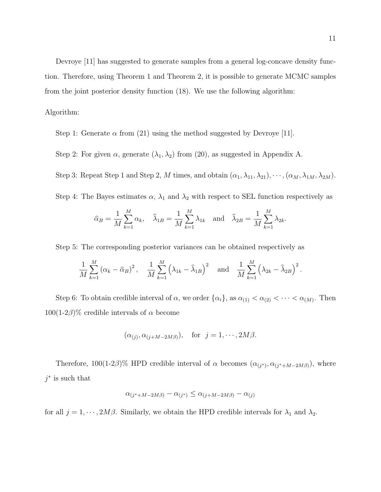Devroye [11] has suggested to generate samples from a general log-concave density function. Therefore, using Theorem 1 and Theorem 2, it is possible to generate MCMC samples from the joint posterior density function (18). We use the following algorithm:

#### Algorithm:

Step 1: Generate  $\alpha$  from (21) using the method suggested by Devroye [11].

Step 2: For given  $\alpha$ , generate  $(\lambda_1, \lambda_2)$  from (20), as suggested in Appendix A.

Step 3: Repeat Step 1 and Step 2, M times, and obtain  $(\alpha_1, \lambda_{11}, \lambda_{21}), \cdots, (\alpha_M, \lambda_{1M}, \lambda_{2M}).$ 

Step 4: The Bayes estimates  $\alpha$ ,  $\lambda_1$  and  $\lambda_2$  with respect to SEL function respectively as

$$
\widehat{\alpha}_B = \frac{1}{M} \sum_{k=1}^M \alpha_k, \quad \widehat{\lambda}_{1B} = \frac{1}{M} \sum_{k=1}^M \lambda_{1k} \quad \text{and} \quad \widehat{\lambda}_{2B} = \frac{1}{M} \sum_{k=1}^M \lambda_{2k}.
$$

Step 5: The corresponding posterior variances can be obtained respectively as

$$
\frac{1}{M} \sum_{k=1}^{M} (\alpha_k - \widehat{\alpha}_B)^2, \quad \frac{1}{M} \sum_{k=1}^{M} (\lambda_{1k} - \widehat{\lambda}_{1B})^2 \quad \text{and} \quad \frac{1}{M} \sum_{k=1}^{M} (\lambda_{2k} - \widehat{\lambda}_{2B})^2.
$$

Step 6: To obtain credible interval of  $\alpha$ , we order  $\{\alpha_i\}$ , as  $\alpha_{(1)} < \alpha_{(2)} < \cdots < \alpha_{(M)}$ . Then  $100(1-2\beta)\%$  credible intervals of  $\alpha$  become

$$
(\alpha_{(j)}, \alpha_{(j+M-2M\beta)}),
$$
 for  $j = 1, \cdots, 2M\beta$ .

Therefore,  $100(1-2\beta)\%$  HPD credible interval of  $\alpha$  becomes  $(\alpha_{(j^*}, \alpha_{(j^*+M-2M\beta)})$ , where  $j^*$  is such that

$$
\alpha_{(j^*+M-2M\beta)} - \alpha_{(j^*)} \le \alpha_{(j+M-2M\beta)} - \alpha_{(j)}
$$

for all  $j = 1, \dots, 2M\beta$ . Similarly, we obtain the HPD credible intervals for  $\lambda_1$  and  $\lambda_2$ .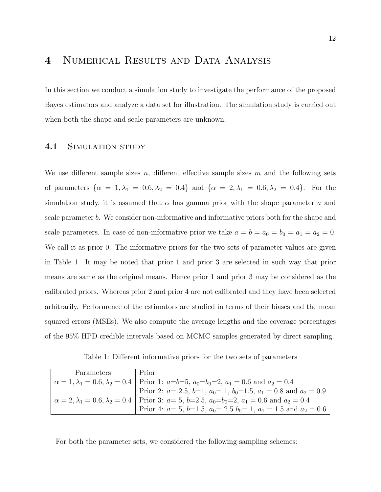### 4 NUMERICAL RESULTS AND DATA ANALYSIS

In this section we conduct a simulation study to investigate the performance of the proposed Bayes estimators and analyze a data set for illustration. The simulation study is carried out when both the shape and scale parameters are unknown.

#### 4.1 SIMULATION STUDY

We use different sample sizes n, different effective sample sizes m and the following sets of parameters  $\{\alpha = 1, \lambda_1 = 0.6, \lambda_2 = 0.4\}$  and  $\{\alpha = 2, \lambda_1 = 0.6, \lambda_2 = 0.4\}$ . For the simulation study, it is assumed that  $\alpha$  has gamma prior with the shape parameter a and scale parameter b. We consider non-informative and informative priors both for the shape and scale parameters. In case of non-informative prior we take  $a = b = a_0 = b_0 = a_1 = a_2 = 0$ . We call it as prior 0. The informative priors for the two sets of parameter values are given in Table 1. It may be noted that prior 1 and prior 3 are selected in such way that prior means are same as the original means. Hence prior 1 and prior 3 may be considered as the calibrated priors. Whereas prior 2 and prior 4 are not calibrated and they have been selected arbitrarily. Performance of the estimators are studied in terms of their biases and the mean squared errors (MSEs). We also compute the average lengths and the coverage percentages of the 95% HPD credible intervals based on MCMC samples generated by direct sampling.

Table 1: Different informative priors for the two sets of parameters

| Parameters | Prior                                                                                                                 |
|------------|-----------------------------------------------------------------------------------------------------------------------|
|            | $\alpha = 1, \lambda_1 = 0.6, \lambda_2 = 0.4$   Prior 1: $a = b = 5$ , $a_0 = b_0 = 2$ , $a_1 = 0.6$ and $a_2 = 0.4$ |
|            | Prior 2: $a=2.5$ , $b=1$ , $a_0=1$ , $b_0=1.5$ , $a_1=0.8$ and $a_2=0.9$                                              |
|            | $\alpha = 2, \lambda_1 = 0.6, \lambda_2 = 0.4$   Prior 3: $a = 5, b = 2.5, a_0 = b_0 = 2, a_1 = 0.6$ and $a_2 = 0.4$  |
|            | Prior 4: $a=5$ , $b=1.5$ , $a_0=2.5$ $b_0=1$ , $a_1=1.5$ and $a_2=0.6$                                                |

For both the parameter sets, we considered the following sampling schemes: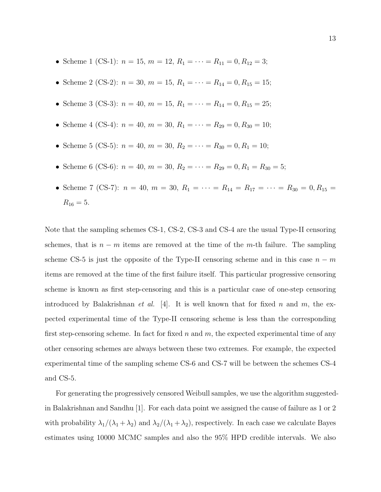- Scheme 1 (CS-1):  $n = 15$ ,  $m = 12$ ,  $R_1 = \cdots = R_{11} = 0$ ,  $R_{12} = 3$ ;
- Scheme 2 (CS-2):  $n = 30, m = 15, R_1 = \cdots = R_{14} = 0, R_{15} = 15;$
- Scheme 3 (CS-3):  $n = 40$ ,  $m = 15$ ,  $R_1 = \cdots = R_{14} = 0$ ,  $R_{15} = 25$ ;
- Scheme 4 (CS-4):  $n = 40$ ,  $m = 30$ ,  $R_1 = \cdots = R_{29} = 0$ ,  $R_{30} = 10$ ;
- Scheme 5 (CS-5):  $n = 40$ ,  $m = 30$ ,  $R_2 = \cdots = R_{30} = 0$ ,  $R_1 = 10$ ;
- Scheme 6 (CS-6):  $n = 40$ ,  $m = 30$ ,  $R_2 = \cdots = R_{29} = 0$ ,  $R_1 = R_{30} = 5$ ;
- Scheme 7 (CS-7):  $n = 40$ ,  $m = 30$ ,  $R_1 = \cdots = R_{14} = R_{17} = \cdots = R_{30} = 0$ ,  $R_{15} =$  $R_{16} = 5.$

Note that the sampling schemes CS-1, CS-2, CS-3 and CS-4 are the usual Type-II censoring schemes, that is  $n - m$  items are removed at the time of the m-th failure. The sampling scheme CS-5 is just the opposite of the Type-II censoring scheme and in this case  $n - m$ items are removed at the time of the first failure itself. This particular progressive censoring scheme is known as first step-censoring and this is a particular case of one-step censoring introduced by Balakrishnan *et al.* [4]. It is well known that for fixed n and m, the expected experimental time of the Type-II censoring scheme is less than the corresponding first step-censoring scheme. In fact for fixed n and m, the expected experimental time of any other censoring schemes are always between these two extremes. For example, the expected experimental time of the sampling scheme CS-6 and CS-7 will be between the schemes CS-4 and CS-5.

For generating the progressively censored Weibull samples, we use the algorithm suggestedin Balakrishnan and Sandhu [1]. For each data point we assigned the cause of failure as 1 or 2 with probability  $\lambda_1/(\lambda_1 + \lambda_2)$  and  $\lambda_2/(\lambda_1 + \lambda_2)$ , respectively. In each case we calculate Bayes estimates using 10000 MCMC samples and also the 95% HPD credible intervals. We also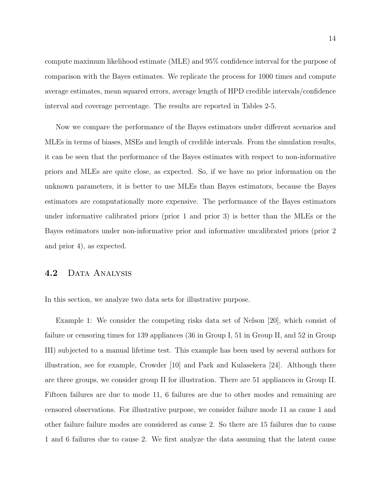compute maximum likelihood estimate (MLE) and 95% confidence interval for the purpose of comparison with the Bayes estimates. We replicate the process for 1000 times and compute average estimates, mean squared errors, average length of HPD credible intervals/confidence interval and coverage percentage. The results are reported in Tables 2-5.

Now we compare the performance of the Bayes estimators under different scenarios and MLEs in terms of biases, MSEs and length of credible intervals. From the simulation results, it can be seen that the performance of the Bayes estimates with respect to non-informative priors and MLEs are quite close, as expected. So, if we have no prior information on the unknown parameters, it is better to use MLEs than Bayes estimators, because the Bayes estimators are computationally more expensive. The performance of the Bayes estimators under informative calibrated priors (prior 1 and prior 3) is better than the MLEs or the Bayes estimators under non-informative prior and informative uncalibrated priors (prior 2 and prior 4), as expected.

#### 4.2 DATA ANALYSIS

In this section, we analyze two data sets for illustrative purpose.

Example 1: We consider the competing risks data set of Nelson [20], which consist of failure or censoring times for 139 appliances (36 in Group I, 51 in Group II, and 52 in Group III) subjected to a manual lifetime test. This example has been used by several authors for illustration, see for example, Crowder [10] and Park and Kulasekera [24]. Although there are three groups, we consider group II for illustration. There are 51 appliances in Group II. Fifteen failures are due to mode 11, 6 failures are due to other modes and remaining are censored observations. For illustrative purpose, we consider failure mode 11 as cause 1 and other failure failure modes are considered as cause 2. So there are 15 failures due to cause 1 and 6 failures due to cause 2. We first analyze the data assuming that the latent cause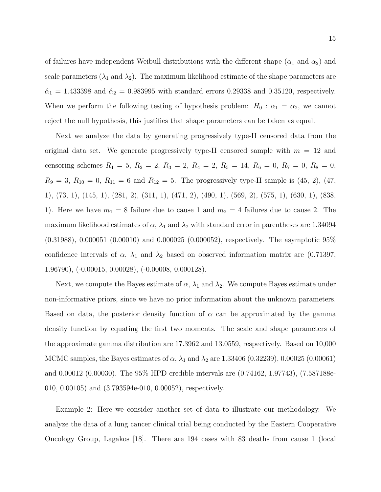of failures have independent Weibull distributions with the different shape ( $\alpha_1$  and  $\alpha_2$ ) and scale parameters  $(\lambda_1 \text{ and } \lambda_2)$ . The maximum likelihood estimate of the shape parameters are  $\hat{\alpha}_1 = 1.433398$  and  $\hat{\alpha}_2 = 0.983995$  with standard errors 0.29338 and 0.35120, respectively. When we perform the following testing of hypothesis problem:  $H_0$ :  $\alpha_1 = \alpha_2$ , we cannot reject the null hypothesis, this justifies that shape parameters can be taken as equal.

Next we analyze the data by generating progressively type-II censored data from the original data set. We generate progressively type-II censored sample with  $m = 12$  and censoring schemes  $R_1 = 5$ ,  $R_2 = 2$ ,  $R_3 = 2$ ,  $R_4 = 2$ ,  $R_5 = 14$ ,  $R_6 = 0$ ,  $R_7 = 0$ ,  $R_8 = 0$ ,  $R_9 = 3, R_{10} = 0, R_{11} = 6$  and  $R_{12} = 5$ . The progressively type-II sample is (45, 2), (47, 1), (73, 1), (145, 1), (281, 2), (311, 1), (471, 2), (490, 1), (569, 2), (575, 1), (630, 1), (838, 1). Here we have  $m_1 = 8$  failure due to cause 1 and  $m_2 = 4$  failures due to cause 2. The maximum likelihood estimates of  $\alpha$ ,  $\lambda_1$  and  $\lambda_2$  with standard error in parentheses are 1.34094 (0.31988), 0.000051 (0.00010) and 0.000025 (0.000052), respectively. The asymptotic 95% confidence intervals of  $\alpha$ ,  $\lambda_1$  and  $\lambda_2$  based on observed information matrix are (0.71397, 1.96790), (-0.00015, 0.00028), (-0.00008, 0.000128).

Next, we compute the Bayes estimate of  $\alpha$ ,  $\lambda_1$  and  $\lambda_2$ . We compute Bayes estimate under non-informative priors, since we have no prior information about the unknown parameters. Based on data, the posterior density function of  $\alpha$  can be approximated by the gamma density function by equating the first two moments. The scale and shape parameters of the approximate gamma distribution are 17.3962 and 13.0559, respectively. Based on 10,000 MCMC samples, the Bayes estimates of  $\alpha$ ,  $\lambda_1$  and  $\lambda_2$  are 1.33406 (0.32239), 0.00025 (0.00061) and 0.00012 (0.00030). The 95% HPD credible intervals are (0.74162, 1.97743), (7.587188e-010, 0.00105) and (3.793594e-010, 0.00052), respectively.

Example 2: Here we consider another set of data to illustrate our methodology. We analyze the data of a lung cancer clinical trial being conducted by the Eastern Cooperative Oncology Group, Lagakos [18]. There are 194 cases with 83 deaths from cause 1 (local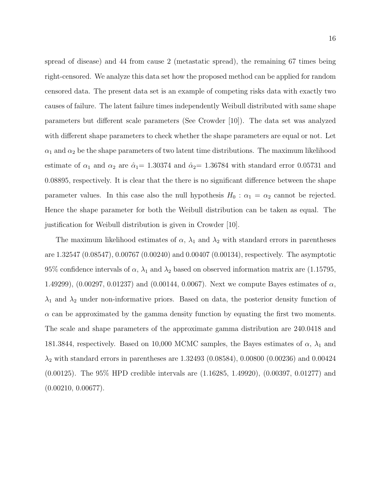spread of disease) and 44 from cause 2 (metastatic spread), the remaining 67 times being right-censored. We analyze this data set how the proposed method can be applied for random censored data. The present data set is an example of competing risks data with exactly two causes of failure. The latent failure times independently Weibull distributed with same shape parameters but different scale parameters (See Crowder [10]). The data set was analyzed with different shape parameters to check whether the shape parameters are equal or not. Let  $\alpha_1$  and  $\alpha_2$  be the shape parameters of two latent time distributions. The maximum likelihood estimate of  $\alpha_1$  and  $\alpha_2$  are  $\hat{\alpha}_1 = 1.30374$  and  $\hat{\alpha}_2 = 1.36784$  with standard error 0.05731 and 0.08895, respectively. It is clear that the there is no significant difference between the shape parameter values. In this case also the null hypothesis  $H_0$  :  $\alpha_1 = \alpha_2$  cannot be rejected. Hence the shape parameter for both the Weibull distribution can be taken as equal. The justification for Weibull distribution is given in Crowder [10].

The maximum likelihood estimates of  $\alpha$ ,  $\lambda_1$  and  $\lambda_2$  with standard errors in parentheses are 1.32547 (0.08547), 0.00767 (0.00240) and 0.00407 (0.00134), respectively. The asymptotic 95% confidence intervals of  $\alpha$ ,  $\lambda_1$  and  $\lambda_2$  based on observed information matrix are (1.15795, 1.49299),  $(0.00297, 0.01237)$  and  $(0.00144, 0.0067)$ . Next we compute Bayes estimates of  $\alpha$ ,  $\lambda_1$  and  $\lambda_2$  under non-informative priors. Based on data, the posterior density function of  $\alpha$  can be approximated by the gamma density function by equating the first two moments. The scale and shape parameters of the approximate gamma distribution are 240.0418 and 181.3844, respectively. Based on 10,000 MCMC samples, the Bayes estimates of  $\alpha$ ,  $\lambda_1$  and  $\lambda_2$  with standard errors in parentheses are 1.32493 (0.08584), 0.00800 (0.00236) and 0.00424 (0.00125). The 95% HPD credible intervals are (1.16285, 1.49920), (0.00397, 0.01277) and  $(0.00210, 0.00677).$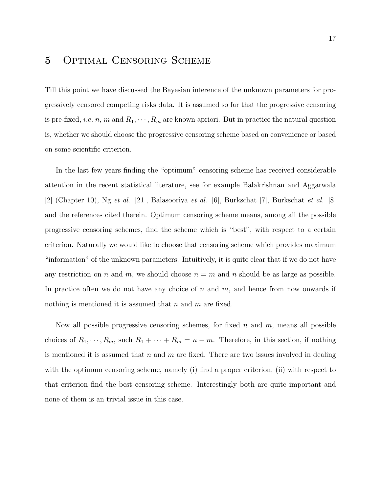### 5 Optimal Censoring Scheme

Till this point we have discussed the Bayesian inference of the unknown parameters for progressively censored competing risks data. It is assumed so far that the progressive censoring is pre-fixed, *i.e.* n, m and  $R_1, \dots, R_m$  are known apriori. But in practice the natural question is, whether we should choose the progressive censoring scheme based on convenience or based on some scientific criterion.

In the last few years finding the "optimum" censoring scheme has received considerable attention in the recent statistical literature, see for example Balakrishnan and Aggarwala [2] (Chapter 10), Ng et al. [21], Balasooriya et al. [6], Burkschat [7], Burkschat et al. [8] and the references cited therein. Optimum censoring scheme means, among all the possible progressive censoring schemes, find the scheme which is "best", with respect to a certain criterion. Naturally we would like to choose that censoring scheme which provides maximum "information" of the unknown parameters. Intuitively, it is quite clear that if we do not have any restriction on n and m, we should choose  $n = m$  and n should be as large as possible. In practice often we do not have any choice of  $n$  and  $m$ , and hence from now onwards if nothing is mentioned it is assumed that  $n$  and  $m$  are fixed.

Now all possible progressive censoring schemes, for fixed  $n$  and  $m$ , means all possible choices of  $R_1, \dots, R_m$ , such  $R_1 + \dots + R_m = n - m$ . Therefore, in this section, if nothing is mentioned it is assumed that  $n$  and  $m$  are fixed. There are two issues involved in dealing with the optimum censoring scheme, namely (i) find a proper criterion, (ii) with respect to that criterion find the best censoring scheme. Interestingly both are quite important and none of them is an trivial issue in this case.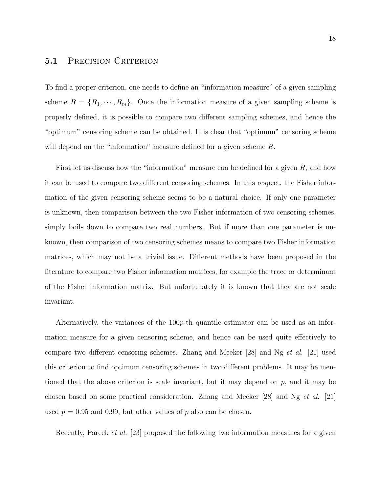### 5.1 PRECISION CRITERION

To find a proper criterion, one needs to define an "information measure" of a given sampling scheme  $R = \{R_1, \dots, R_m\}$ . Once the information measure of a given sampling scheme is properly defined, it is possible to compare two different sampling schemes, and hence the "optimum" censoring scheme can be obtained. It is clear that "optimum" censoring scheme will depend on the "information" measure defined for a given scheme R.

First let us discuss how the "information" measure can be defined for a given  $R$ , and how it can be used to compare two different censoring schemes. In this respect, the Fisher information of the given censoring scheme seems to be a natural choice. If only one parameter is unknown, then comparison between the two Fisher information of two censoring schemes, simply boils down to compare two real numbers. But if more than one parameter is unknown, then comparison of two censoring schemes means to compare two Fisher information matrices, which may not be a trivial issue. Different methods have been proposed in the literature to compare two Fisher information matrices, for example the trace or determinant of the Fisher information matrix. But unfortunately it is known that they are not scale invariant.

Alternatively, the variances of the  $100p$ -th quantile estimator can be used as an information measure for a given censoring scheme, and hence can be used quite effectively to compare two different censoring schemes. Zhang and Meeker  $|28|$  and Ng *et al.*  $|21|$  used this criterion to find optimum censoring schemes in two different problems. It may be mentioned that the above criterion is scale invariant, but it may depend on  $p$ , and it may be chosen based on some practical consideration. Zhang and Meeker [28] and Ng et al. [21] used  $p = 0.95$  and 0.99, but other values of p also can be chosen.

Recently, Pareek *et al.* [23] proposed the following two information measures for a given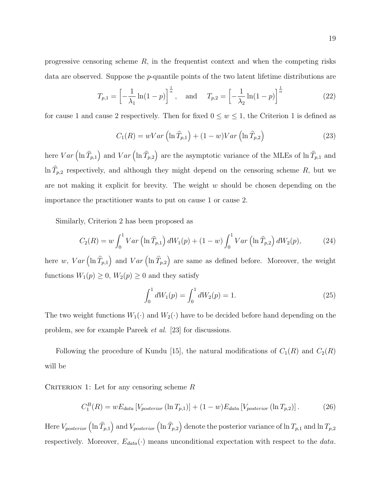progressive censoring scheme  $R$ , in the frequentist context and when the competing risks data are observed. Suppose the p-quantile points of the two latent lifetime distributions are

$$
T_{p,1} = \left[ -\frac{1}{\lambda_1} \ln(1-p) \right]^{\frac{1}{\alpha}}, \text{ and } T_{p,2} = \left[ -\frac{1}{\lambda_2} \ln(1-p) \right]^{\frac{1}{\alpha}} \tag{22}
$$

for cause 1 and cause 2 respectively. Then for fixed  $0 \leq w \leq 1$ , the Criterion 1 is defined as

$$
C_1(R) = wVar\left(\ln \widehat{T}_{p,1}\right) + (1 - w)Var\left(\ln \widehat{T}_{p,2}\right)
$$
\n(23)

here  $Var\left(\ln \widehat{T}_{p,1}\right)$  and  $Var\left(\ln \widehat{T}_{p,2}\right)$  are the asymptotic variance of the MLEs of  $\ln \widehat{T}_{p,1}$  and  $\ln \widehat{T}_{p,2}$  respectively, and although they might depend on the censoring scheme R, but we are not making it explicit for brevity. The weight  $w$  should be chosen depending on the importance the practitioner wants to put on cause 1 or cause 2.

Similarly, Criterion 2 has been proposed as

$$
C_2(R) = w \int_0^1 Var \left( \ln \hat{T}_{p,1} \right) dW_1(p) + (1 - w) \int_0^1 Var \left( \ln \hat{T}_{p,2} \right) dW_2(p), \tag{24}
$$

here w,  $Var\left(\ln \widehat{T}_{p,1}\right)$  and  $Var\left(\ln \widehat{T}_{p,2}\right)$  are same as defined before. Moreover, the weight functions  $W_1(p) \ge 0$ ,  $W_2(p) \ge 0$  and they satisfy

$$
\int_0^1 dW_1(p) = \int_0^1 dW_2(p) = 1.
$$
\n(25)

The two weight functions  $W_1(\cdot)$  and  $W_2(\cdot)$  have to be decided before hand depending on the problem, see for example Pareek et al. [23] for discussions.

Following the procedure of Kundu [15], the natural modifications of  $C_1(R)$  and  $C_2(R)$ will be

CRITERION 1: Let for any censoring scheme  $R$ 

$$
C_1^B(R) = wE_{data} \left[ V_{posterior} \left( \ln T_{p,1} \right) \right] + (1 - w) E_{data} \left[ V_{posterior} \left( \ln T_{p,2} \right) \right]. \tag{26}
$$

Here  $V_{posterior}\left(\ln \widehat{T}_{p,1}\right)$  and  $V_{posterior}\left(\ln \widehat{T}_{p,2}\right)$  denote the posterior variance of  $\ln T_{p,1}$  and  $\ln T_{p,2}$ respectively. Moreover,  $E_{data}(\cdot)$  means unconditional expectation with respect to the data.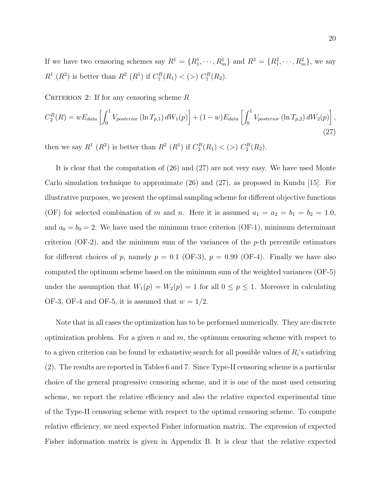If we have two censoring schemes say  $R^1 = \{R_1^1, \dots, R_m^1\}$  and  $R^2 = \{R_1^2, \dots, R_m^2\}$ , we say  $R^1(R^2)$  is better than  $R^2(R^1)$  if  $C_1^B(R_1) < (>) C_1^B(R_2)$ .

CRITERION 2: If for any censoring scheme  $R$ 

$$
C_2^B(R) = wE_{data} \left[ \int_0^1 V_{posterior} \left( \ln T_{p,1} \right) dW_1(p) \right] + (1-w) E_{data} \left[ \int_0^1 V_{posterior} \left( \ln T_{p,2} \right) dW_2(p) \right],
$$
\n(27)

then we say  $R^1(R^2)$  is better than  $R^2(R^1)$  if  $C_2^B(R_1) < (>) C_2^B(R_2)$ .

It is clear that the computation of (26) and (27) are not very easy. We have used Monte Carlo simulation technique to approximate (26) and (27), as proposed in Kundu [15]. For illustrative purposes, we present the optimal sampling scheme for different objective functions (OF) for selected combination of m and n. Here it is assumed  $a_1 = a_2 = b_1 = b_2 = 1.0$ , and  $a_0 = b_0 = 2$ . We have used the minimum trace criterion (OF-1), minimum determinant criterion (OF-2), and the minimum sum of the variances of the  $p$ -th percentile estimators for different choices of p, namely  $p = 0.1$  (OF-3),  $p = 0.99$  (OF-4). Finally we have also computed the optimum scheme based on the minimum sum of the weighted variances (OF-5) under the assumption that  $W_1(p) = W_2(p) = 1$  for all  $0 \le p \le 1$ . Moreover in calculating OF-3, OF-4 and OF-5, it is assumed that  $w = 1/2$ .

Note that in all cases the optimization has to be performed numerically. They are discrete optimization problem. For a given  $n$  and  $m$ , the optimum censoring scheme with respect to to a given criterion can be found by exhaustive search for all possible values of  $R_i$ 's satisfying (2). The results are reported in Tables 6 and 7. Since Type-II censoring scheme is a particular choice of the general progressive censoring scheme, and it is one of the most used censoring scheme, we report the relative efficiency and also the relative expected experimental time of the Type-II censoring scheme with respect to the optimal censoring scheme. To compute relative efficiency, we need expected Fisher information matrix. The expression of expected Fisher information matrix is given in Appendix B. It is clear that the relative expected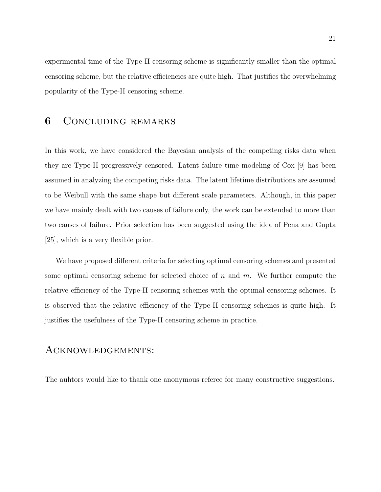experimental time of the Type-II censoring scheme is significantly smaller than the optimal censoring scheme, but the relative efficiencies are quite high. That justifies the overwhelming popularity of the Type-II censoring scheme.

### 6 Concluding remarks

In this work, we have considered the Bayesian analysis of the competing risks data when they are Type-II progressively censored. Latent failure time modeling of Cox [9] has been assumed in analyzing the competing risks data. The latent lifetime distributions are assumed to be Weibull with the same shape but different scale parameters. Although, in this paper we have mainly dealt with two causes of failure only, the work can be extended to more than two causes of failure. Prior selection has been suggested using the idea of Pena and Gupta [25], which is a very flexible prior.

We have proposed different criteria for selecting optimal censoring schemes and presented some optimal censoring scheme for selected choice of  $n$  and  $m$ . We further compute the relative efficiency of the Type-II censoring schemes with the optimal censoring schemes. It is observed that the relative efficiency of the Type-II censoring schemes is quite high. It justifies the usefulness of the Type-II censoring scheme in practice.

### Acknowledgements:

The auhtors would like to thank one anonymous referee for many constructive suggestions.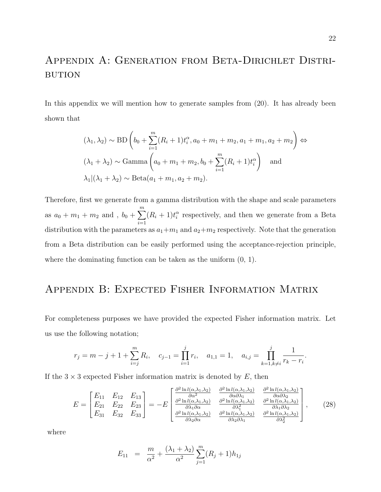# APPENDIX A: GENERATION FROM BETA-DIRICHLET DISTRI-**BUTION**

In this appendix we will mention how to generate samples from  $(20)$ . It has already been shown that

$$
(\lambda_1, \lambda_2) \sim \text{BD}\left(b_0 + \sum_{i=1}^m (R_i + 1)t_i^{\alpha}, a_0 + m_1 + m_2, a_1 + m_1, a_2 + m_2\right) \Leftrightarrow
$$
  

$$
(\lambda_1 + \lambda_2) \sim \text{Gamma}\left(a_0 + m_1 + m_2, b_0 + \sum_{i=1}^m (R_i + 1)t_i^{\alpha}\right) \text{ and}
$$
  

$$
\lambda_1 | (\lambda_1 + \lambda_2) \sim \text{Beta}(a_1 + m_1, a_2 + m_2).
$$

Therefore, first we generate from a gamma distribution with the shape and scale parameters as  $a_0 + m_1 + m_2$  and ,  $b_0 + \sum_{n=1}^{m}$  $i=1$  $(R_i + 1)t_i^{\alpha}$  respectively, and then we generate from a Beta distribution with the parameters as  $a_1+m_1$  and  $a_2+m_2$  respectively. Note that the generation from a Beta distribution can be easily performed using the acceptance-rejection principle, where the dominating function can be taken as the uniform (0, 1).

## Appendix B: Expected Fisher Information Matrix

For completeness purposes we have provided the expected Fisher information matrix. Let us use the following notation;

$$
r_j = m - j + 1 + \sum_{i=j}^{m} R_i
$$
,  $c_{j-1} = \prod_{i=1}^{j} r_i$ ,  $a_{1,1} = 1$ ,  $a_{i,j} = \prod_{k=1, k \neq i}^{j} \frac{1}{r_k - r_i}$ .

If the  $3 \times 3$  expected Fisher information matrix is denoted by E, then

$$
E = \begin{bmatrix} E_{11} & E_{12} & E_{13} \\ E_{21} & E_{22} & E_{23} \\ E_{31} & E_{32} & E_{33} \end{bmatrix} = -E \begin{bmatrix} \frac{\partial^2 \ln l(\alpha, \lambda_1, \lambda_2)}{\partial \alpha^2} & \frac{\partial^2 \ln l(\alpha, \lambda_1, \lambda_2)}{\partial \alpha \partial \lambda_1} & \frac{\partial^2 \ln l(\alpha, \lambda_1, \lambda_2)}{\partial \alpha \partial \lambda_2} \\ \frac{\partial^2 \ln l(\alpha, \lambda_1, \lambda_2)}{\partial \lambda_1 \partial \alpha} & \frac{\partial^2 \ln l(\alpha, \lambda_1, \lambda_2)}{\partial \lambda_1^2} & \frac{\partial^2 \ln l(\alpha, \lambda_1, \lambda_2)}{\partial \lambda_1 \partial \lambda_2} \\ \frac{\partial^2 \ln l(\alpha, \lambda_1, \lambda_2)}{\partial \lambda_2 \partial \alpha} & \frac{\partial^2 \ln l(\alpha, \lambda_1, \lambda_2)}{\partial \lambda_2 \partial \lambda_1} & \frac{\partial^2 \ln l(\alpha, \lambda_1, \lambda_2)}{\partial \lambda_2^2} \end{bmatrix}, \qquad (28)
$$

where

$$
E_{11} = \frac{m}{\alpha^2} + \frac{(\lambda_1 + \lambda_2)}{\alpha^2} \sum_{j=1}^{m} (R_j + 1) h_{1j}
$$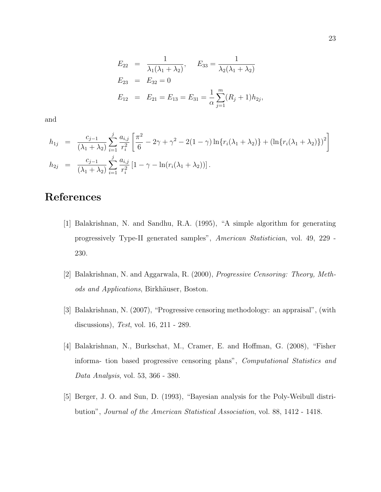$$
E_{22} = \frac{1}{\lambda_1(\lambda_1 + \lambda_2)}, \quad E_{33} = \frac{1}{\lambda_2(\lambda_1 + \lambda_2)}
$$
  
\n
$$
E_{23} = E_{32} = 0
$$
  
\n
$$
E_{12} = E_{21} = E_{13} = E_{31} = \frac{1}{\alpha} \sum_{j=1}^{m} (R_j + 1) h_{2j},
$$

and

$$
h_{1j} = \frac{c_{j-1}}{(\lambda_1 + \lambda_2)} \sum_{i=1}^{j} \frac{a_{i,j}}{r_i^2} \left[ \frac{\pi^2}{6} - 2\gamma + \gamma^2 - 2(1 - \gamma) \ln\{r_i(\lambda_1 + \lambda_2)\} + (\ln\{r_i(\lambda_1 + \lambda_2)\})^2 \right]
$$
  
\n
$$
h_{2j} = \frac{c_{j-1}}{(\lambda_1 + \lambda_2)} \sum_{i=1}^{j} \frac{a_{i,j}}{r_i^2} [1 - \gamma - \ln(r_i(\lambda_1 + \lambda_2))].
$$

# References

- [1] Balakrishnan, N. and Sandhu, R.A. (1995), "A simple algorithm for generating progressively Type-II generated samples", American Statistician, vol. 49, 229 - 230.
- [2] Balakrishnan, N. and Aggarwala, R. (2000), Progressive Censoring: Theory, Methods and Applications, Birkhäuser, Boston.
- [3] Balakrishnan, N. (2007), "Progressive censoring methodology: an appraisal", (with discussions), Test, vol. 16, 211 - 289.
- [4] Balakrishnan, N., Burkschat, M., Cramer, E. and Hoffman, G. (2008), "Fisher informa- tion based progressive censoring plans", Computational Statistics and Data Analysis, vol. 53, 366 - 380.
- [5] Berger, J. O. and Sun, D. (1993), "Bayesian analysis for the Poly-Weibull distribution", Journal of the American Statistical Association, vol. 88, 1412 - 1418.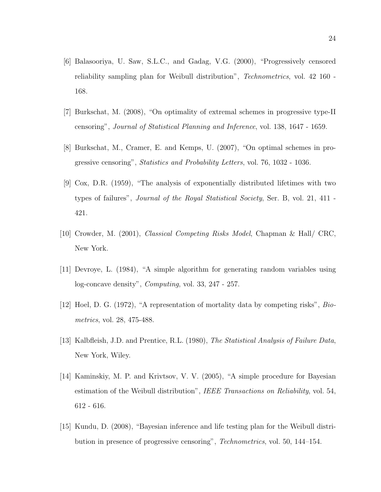- [6] Balasooriya, U. Saw, S.L.C., and Gadag, V.G. (2000), "Progressively censored reliability sampling plan for Weibull distribution", Technometrics, vol. 42 160 - 168.
- [7] Burkschat, M. (2008), "On optimality of extremal schemes in progressive type-II censoring", Journal of Statistical Planning and Inference, vol. 138, 1647 - 1659.
- [8] Burkschat, M., Cramer, E. and Kemps, U. (2007), "On optimal schemes in progressive censoring", Statistics and Probability Letters, vol. 76, 1032 - 1036.
- [9] Cox, D.R. (1959), "The analysis of exponentially distributed lifetimes with two types of failures", Journal of the Royal Statistical Society, Ser. B, vol. 21, 411 - 421.
- [10] Crowder, M. (2001), Classical Competing Risks Model, Chapman & Hall/ CRC, New York.
- [11] Devroye, L. (1984), "A simple algorithm for generating random variables using log-concave density", Computing, vol. 33, 247 - 257.
- [12] Hoel, D. G. (1972), "A representation of mortality data by competing risks", Biometrics, vol. 28, 475-488.
- [13] Kalbfleish, J.D. and Prentice, R.L. (1980), The Statistical Analysis of Failure Data, New York, Wiley.
- [14] Kaminskiy, M. P. and Krivtsov, V. V. (2005), "A simple procedure for Bayesian estimation of the Weibull distribution", IEEE Transactions on Reliability, vol. 54, 612 - 616.
- [15] Kundu, D. (2008), "Bayesian inference and life testing plan for the Weibull distribution in presence of progressive censoring", Technometrics, vol. 50, 144–154.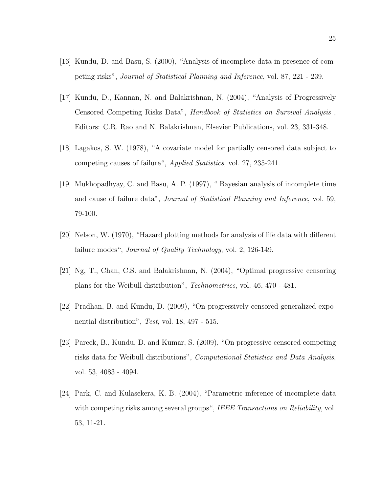- [16] Kundu, D. and Basu, S. (2000), "Analysis of incomplete data in presence of competing risks", Journal of Statistical Planning and Inference, vol. 87, 221 - 239.
- [17] Kundu, D., Kannan, N. and Balakrishnan, N. (2004), "Analysis of Progressively Censored Competing Risks Data", Handbook of Statistics on Survival Analysis , Editors: C.R. Rao and N. Balakrishnan, Elsevier Publications, vol. 23, 331-348.
- [18] Lagakos, S. W. (1978), "A covariate model for partially censored data subject to competing causes of failure", Applied Statistics, vol. 27, 235-241.
- [19] Mukhopadhyay, C. and Basu, A. P. (1997), " Bayesian analysis of incomplete time and cause of failure data", Journal of Statistical Planning and Inference, vol. 59, 79-100.
- [20] Nelson, W. (1970), "Hazard plotting methods for analysis of life data with different failure modes", *Journal of Quality Technology*, vol. 2, 126-149.
- [21] Ng, T., Chan, C.S. and Balakrishnan, N. (2004), "Optimal progressive censoring plans for the Weibull distribution", Technometrics, vol. 46, 470 - 481.
- [22] Pradhan, B. and Kundu, D. (2009), "On progressively censored generalized exponential distribution", Test, vol. 18, 497 - 515.
- [23] Pareek, B., Kundu, D. and Kumar, S. (2009), "On progressive censored competing risks data for Weibull distributions", Computational Statistics and Data Analysis, vol. 53, 4083 - 4094.
- [24] Park, C. and Kulasekera, K. B. (2004), "Parametric inference of incomplete data with competing risks among several groups", IEEE Transactions on Reliability, vol. 53, 11-21.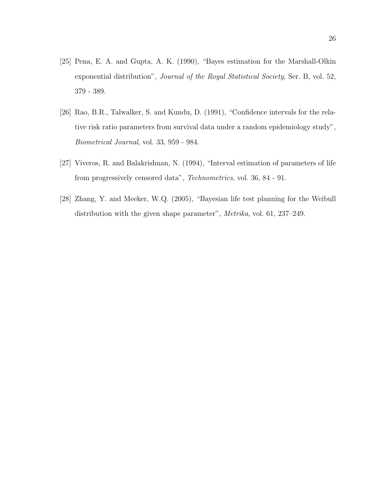- [25] Pena, E. A. and Gupta, A. K. (1990), "Bayes estimation for the Marshall-Olkin exponential distribution", *Journal of the Royal Statistical Society*, Ser. B, vol. 52, 379 - 389.
- [26] Rao, B.R., Talwalker, S. and Kundu, D. (1991), "Confidence intervals for the relative risk ratio parameters from survival data under a random epidemiology study", Biometrical Journal, vol. 33, 959 - 984.
- [27] Viveros, R. and Balakrishnan, N. (1994), "Interval estimation of parameters of life from progressively censored data", Technometrics, vol. 36, 84 - 91.
- [28] Zhang, Y. and Meeker, W.Q. (2005), "Bayesian life test planning for the Weibull distribution with the given shape parameter", Metrika, vol. 61, 237–249.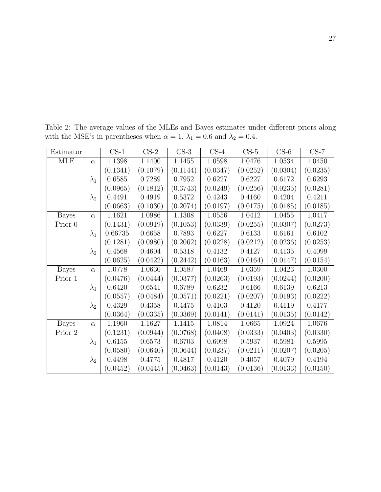| Estimator    |             | $CS-1$   | $CS-2$   | $CS-3$   | $CS-4$   | $CS-5$   | $CS-6$   | $CS-7$   |
|--------------|-------------|----------|----------|----------|----------|----------|----------|----------|
| <b>MLE</b>   | $\alpha$    | 1.1398   | 1.1400   | 1.1455   | 1.0598   | 1.0476   | 1.0534   | 1.0450   |
|              |             | (0.1341) | (0.1079) | (0.1144) | (0.0347) | (0.0252) | (0.0304) | (0.0235) |
|              | $\lambda_1$ | 0.6585   | 0.7289   | 0.7952   | 0.6227   | 0.6227   | 0.6172   | 0.6293   |
|              |             | (0.0965) | (0.1812) | (0.3743) | (0.0249) | (0.0256) | (0.0235) | (0.0281) |
|              | $\lambda_2$ | 0.4491   | 0.4919   | 0.5372   | 0.4243   | 0.4160   | 0.4204   | 0.4211   |
|              |             | (0.0663) | (0.1030) | (0.2074) | (0.0197) | (0.0175) | (0.0185) | (0.0185) |
| <b>Bayes</b> | $\alpha$    | 1.1621   | 1.0986   | 1.1308   | 1.0556   | 1.0412   | 1.0455   | 1.0417   |
| Prior 0      |             | (0.1431) | (0.0919) | (0.1053) | (0.0339) | (0.0255) | (0.0307) | (0.0273) |
|              | $\lambda_1$ | 0.66735  | 0.6658   | 0.7893   | 0.6227   | 0.6133   | 0.6161   | 0.6102   |
|              |             | (0.1281) | (0.0980) | (0.2062) | (0.0228) | (0.0212) | (0.0236) | (0.0253) |
|              | $\lambda_2$ | 0.4568   | 0.4604   | 0.5318   | 0.4132   | 0.4127   | 0.4135   | 0.4099   |
|              |             | (0.0625) | (0.0422) | (0.2442) | (0.0163) | (0.0164) | (0.0147) | (0.0154) |
| <b>Bayes</b> | $\alpha$    | 1.0778   | 1.0630   | 1.0587   | 1.0469   | 1.0359   | 1.0423   | 1.0300   |
| Prior 1      |             | (0.0476) | (0.0444) | (0.0377) | (0.0263) | (0.0193) | (0.0244) | (0.0200) |
|              | $\lambda_1$ | 0.6420   | 0.6541   | 0.6789   | 0.6232   | 0.6166   | 0.6139   | 0.6213   |
|              |             | (0.0557) | (0.0484) | (0.0571) | (0.0221) | (0.0207) | (0.0193) | (0.0222) |
|              | $\lambda_2$ | 0.4329   | 0.4358   | 0.4475   | 0.4103   | 0.4120   | 0.4119   | 0.4177   |
|              |             | (0.0364) | (0.0335) | (0.0369) | (0.0141) | (0.0141) | (0.0135) | (0.0142) |
| <b>Bayes</b> | $\alpha$    | 1.1960   | 1.1627   | 1.1415   | 1.0814   | 1.0665   | 1.0924   | 1.0676   |
| Prior 2      |             | (0.1231) | (0.0944) | (0.0768) | (0.0408) | (0.0333) | (0.0403) | (0.0330) |
|              | $\lambda_1$ | 0.6155   | 0.6573   | 0.6703   | 0.6098   | 0.5937   | 0.5981   | 0.5995   |
|              |             | (0.0580) | (0.0640) | (0.0644) | (0.0237) | (0.0211) | (0.0207) | (0.0205) |
|              | $\lambda_2$ | 0.4498   | 0.4775   | 0.4817   | 0.4120   | 0.4057   | 0.4079   | 0.4194   |
|              |             | (0.0452) | (0.0445) | (0.0463) | (0.0143) | (0.0136) | (0.0133) | (0.0150) |

Table 2: The average values of the MLEs and Bayes estimates under different priors along with the MSE's in parentheses when  $\alpha=1,$   $\lambda_1=0.6$  and  $\lambda_2=0.4.$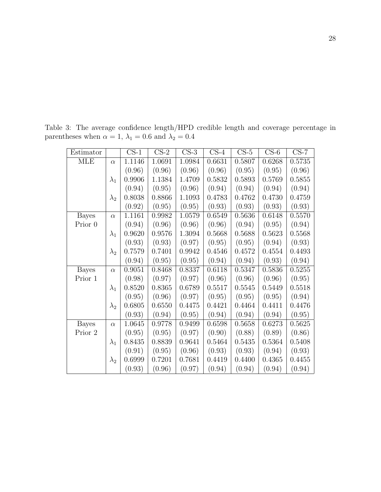| Estimator    |             | $CS-1$ | $CS-2$ | $CS-3$ | $CS-4$ | $CS-5$ | $CS-6$ | $CS-7$ |
|--------------|-------------|--------|--------|--------|--------|--------|--------|--------|
| <b>MLE</b>   | $\alpha$    | 1.1146 | 1.0691 | 1.0984 | 0.6631 | 0.5807 | 0.6268 | 0.5735 |
|              |             | (0.96) | (0.96) | (0.96) | (0.96) | (0.95) | (0.95) | (0.96) |
|              | $\lambda_1$ | 0.9906 | 1.1384 | 1.4709 | 0.5832 | 0.5893 | 0.5769 | 0.5855 |
|              |             | (0.94) | (0.95) | (0.96) | (0.94) | (0.94) | (0.94) | (0.94) |
|              | $\lambda_2$ | 0.8038 | 0.8866 | 1.1093 | 0.4783 | 0.4762 | 0.4730 | 0.4759 |
|              |             | (0.92) | (0.95) | (0.95) | (0.93) | (0.93) | (0.93) | (0.93) |
| <b>Bayes</b> | $\alpha$    | 1.1161 | 0.9982 | 1.0579 | 0.6549 | 0.5636 | 0.6148 | 0.5570 |
| Prior 0      |             | (0.94) | (0.96) | (0.96) | (0.96) | (0.94) | (0.95) | (0.94) |
|              | $\lambda_1$ | 0.9620 | 0.9576 | 1.3094 | 0.5668 | 0.5688 | 0.5623 | 0.5568 |
|              |             | (0.93) | (0.93) | (0.97) | (0.95) | (0.95) | (0.94) | (0.93) |
|              | $\lambda_2$ | 0.7579 | 0.7401 | 0.9942 | 0.4546 | 0.4572 | 0.4554 | 0.4493 |
|              |             | (0.94) | (0.95) | (0.95) | (0.94) | (0.94) | (0.93) | (0.94) |
| <b>Bayes</b> | $\alpha$    | 0.9051 | 0.8468 | 0.8337 | 0.6118 | 0.5347 | 0.5836 | 0.5255 |
| Prior 1      |             | (0.98) | (0.97) | (0.97) | (0.96) | (0.96) | (0.96) | (0.95) |
|              | $\lambda_1$ | 0.8520 | 0.8365 | 0.6789 | 0.5517 | 0.5545 | 0.5449 | 0.5518 |
|              |             | (0.95) | (0.96) | (0.97) | (0.95) | (0.95) | (0.95) | (0.94) |
|              | $\lambda_2$ | 0.6805 | 0.6550 | 0.4475 | 0.4421 | 0.4464 | 0.4411 | 0.4476 |
|              |             | (0.93) | (0.94) | (0.95) | (0.94) | (0.94) | (0.94) | (0.95) |
| <b>Bayes</b> | $\alpha$    | 1.0645 | 0.9778 | 0.9499 | 0.6598 | 0.5658 | 0.6273 | 0.5625 |
| Prior 2      |             | (0.95) | (0.95) | (0.97) | (0.90) | (0.88) | (0.89) | (0.86) |
|              | $\lambda_1$ | 0.8435 | 0.8839 | 0.9641 | 0.5464 | 0.5435 | 0.5364 | 0.5408 |
|              |             | (0.91) | (0.95) | (0.96) | (0.93) | (0.93) | (0.94) | (0.93) |
|              | $\lambda_2$ | 0.6999 | 0.7201 | 0.7681 | 0.4419 | 0.4400 | 0.4365 | 0.4455 |
|              |             | (0.93) | (0.96) | (0.97) | (0.94) | (0.94) | (0.94) | (0.94) |

Table 3: The average confidence length/HPD credible length and coverage percentage in parentheses when  $\alpha = 1$ ,  $\lambda_1 = 0.6$  and  $\lambda_2 = 0.4$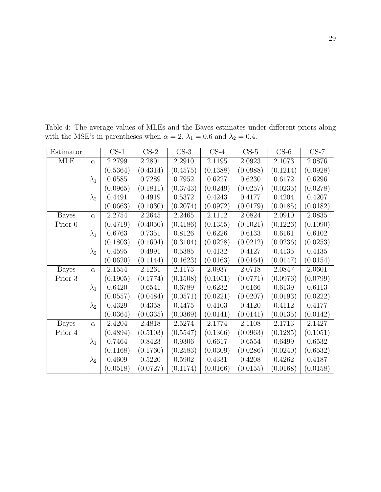| Estimator    |             | $CS-1$   | $CS-2$   | $CS-3$   | $CS-4$   | $CS-5$   | $CS-6$   | $CS-7$   |
|--------------|-------------|----------|----------|----------|----------|----------|----------|----------|
| <b>MLE</b>   | $\alpha$    | 2.2799   | 2.2801   | 2.2910   | 2.1195   | 2.0923   | 2.1073   | 2.0876   |
|              |             | (0.5364) | (0.4314) | (0.4575) | (0.1388) | (0.0988) | (0.1214) | (0.0928) |
|              | $\lambda_1$ | 0.6585   | 0.7289   | 0.7952   | 0.6227   | 0.6230   | 0.6172   | 0.6296   |
|              |             | (0.0965) | (0.1811) | (0.3743) | (0.0249) | (0.0257) | (0.0235) | (0.0278) |
|              | $\lambda_2$ | 0.4491   | 0.4919   | 0.5372   | 0.4243   | 0.4177   | 0.4204   | 0.4207   |
|              |             | (0.0663) | (0.1030) | (0.2074) | (0.0972) | (0.0179) | (0.0185) | (0.0182) |
| <b>Bayes</b> | $\alpha$    | 2.2754   | 2.2645   | 2.2465   | 2.1112   | 2.0824   | 2.0910   | 2.0835   |
| Prior 0      |             | (0.4719) | (0.4050) | (0.4186) | (0.1355) | (0.1021) | (0.1226) | (0.1090) |
|              | $\lambda_1$ | 0.6763   | 0.7351   | 0.8126   | 0.6226   | 0.6133   | 0.6161   | 0.6102   |
|              |             | (0.1803) | (0.1604) | (0.3104) | (0.0228) | (0.0212) | (0.0236) | (0.0253) |
|              | $\lambda_2$ | 0.4595   | 0.4991   | 0.5385   | 0.4132   | 0.4127   | 0.4135   | 0.4135   |
|              |             | (0.0620) | (0.1144) | (0.1623) | (0.0163) | (0.0164) | (0.0147) | (0.0154) |
| <b>Bayes</b> | $\alpha$    | 2.1554   | 2.1261   | 2.1173   | 2.0937   | 2.0718   | 2.0847   | 2.0601   |
| Prior 3      |             | (0.1905) | (0.1774) | (0.1508) | (0.1051) | (0.0771) | (0.0976) | (0.0799) |
|              | $\lambda_1$ | 0.6420   | 0.6541   | 0.6789   | 0.6232   | 0.6166   | 0.6139   | 0.6113   |
|              |             | (0.0557) | (0.0484) | (0.0571) | (0.0221) | (0.0207) | (0.0193) | (0.0222) |
|              | $\lambda_2$ | 0.4329   | 0.4358   | 0.4475   | 0.4103   | 0.4120   | 0.4112   | 0.4177   |
|              |             | (0.0364) | (0.0335) | (0.0369) | (0.0141) | (0.0141) | (0.0135) | (0.0142) |
| <b>Bayes</b> | $\alpha$    | 2.4204   | 2.4818   | 2.5274   | 2.1774   | 2.1108   | 2.1713   | 2.1427   |
| Prior 4      |             | (0.4894) | (0.5103) | (0.5547) | (0.1366) | (0.0963) | (0.1285) | (0.1051) |
|              | $\lambda_1$ | 0.7464   | 0.8423   | 0.9306   | 0.6617   | 0.6554   | 0.6499   | 0.6532   |
|              |             | (0.1168) | (0.1760) | (0.2583) | (0.0309) | (0.0286) | (0.0240) | (0.6532) |
|              | $\lambda_2$ | 0.4609   | 0.5220   | 0.5902   | 0.4331   | 0.4208   | 0.4262   | 0.4187   |
|              |             | (0.0518) | (0.0727) | (0.1174) | (0.0166) | (0.0155) | (0.0168) | (0.0158) |

Table 4: The average values of MLEs and the Bayes estimates under different priors along with the MSE's in parentheses when  $\alpha = 2$ ,  $\lambda_1 = 0.6$  and  $\lambda_2 = 0.4$ .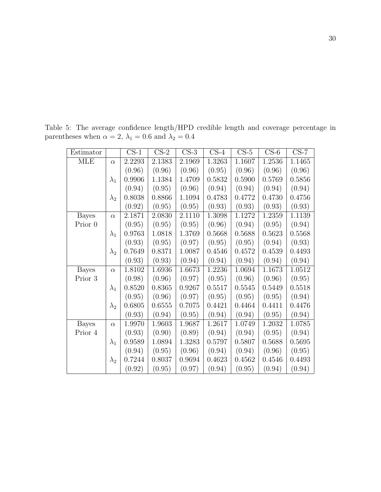| Estimator    |             | $CS-1$ | $CS-2$ | $CS-3$ | $CS-4$ | $CS-5$ | $CS-6$ | $CS-7$ |
|--------------|-------------|--------|--------|--------|--------|--------|--------|--------|
| <b>MLE</b>   | $\alpha$    | 2.2293 | 2.1383 | 2.1969 | 1.3263 | 1.1607 | 1.2536 | 1.1465 |
|              |             | (0.96) | (0.96) | (0.96) | (0.95) | (0.96) | (0.96) | (0.96) |
|              | $\lambda_1$ | 0.9906 | 1.1384 | 1.4709 | 0.5832 | 0.5900 | 0.5769 | 0.5856 |
|              |             | (0.94) | (0.95) | (0.96) | (0.94) | (0.94) | (0.94) | (0.94) |
|              | $\lambda_2$ | 0.8038 | 0.8866 | 1.1094 | 0.4783 | 0.4772 | 0.4730 | 0.4756 |
|              |             | (0.92) | (0.95) | (0.95) | (0.93) | (0.93) | (0.93) | (0.93) |
| <b>Bayes</b> | $\alpha$    | 2.1871 | 2.0830 | 2.1110 | 1.3098 | 1.1272 | 1.2359 | 1.1139 |
| Prior 0      |             | (0.95) | (0.95) | (0.95) | (0.96) | (0.94) | (0.95) | (0.94) |
|              | $\lambda_1$ | 0.9763 | 1.0818 | 1.3769 | 0.5668 | 0.5688 | 0.5623 | 0.5568 |
|              |             | (0.93) | (0.95) | (0.97) | (0.95) | (0.95) | (0.94) | (0.93) |
|              | $\lambda_2$ | 0.7649 | 0.8371 | 1.0087 | 0.4546 | 0.4572 | 0.4539 | 0.4493 |
|              |             | (0.93) | (0.93) | (0.94) | (0.94) | (0.94) | (0.94) | (0.94) |
| <b>Bayes</b> | $\alpha$    | 1.8102 | 1.6936 | 1.6673 | 1.2236 | 1.0694 | 1.1673 | 1.0512 |
| Prior 3      |             | (0.98) | (0.96) | (0.97) | (0.95) | (0.96) | (0.96) | (0.95) |
|              | $\lambda_1$ | 0.8520 | 0.8365 | 0.9267 | 0.5517 | 0.5545 | 0.5449 | 0.5518 |
|              |             | (0.95) | (0.96) | (0.97) | (0.95) | (0.95) | (0.95) | (0.94) |
|              | $\lambda_2$ | 0.6805 | 0.6555 | 0.7075 | 0.4421 | 0.4464 | 0.4411 | 0.4476 |
|              |             | (0.93) | (0.94) | (0.95) | (0.94) | (0.94) | (0.95) | (0.94) |
| <b>Bayes</b> | $\alpha$    | 1.9970 | 1.9603 | 1.9687 | 1.2617 | 1.0749 | 1.2032 | 1.0785 |
| Prior 4      |             | (0.93) | (0.90) | (0.89) | (0.94) | (0.94) | (0.95) | (0.94) |
|              | $\lambda_1$ | 0.9589 | 1.0894 | 1.3283 | 0.5797 | 0.5807 | 0.5688 | 0.5695 |
|              |             | (0.94) | (0.95) | (0.96) | (0.94) | (0.94) | (0.96) | (0.95) |
|              | $\lambda_2$ | 0.7244 | 0.8037 | 0.9694 | 0.4623 | 0.4562 | 0.4546 | 0.4493 |
|              |             | (0.92) | (0.95) | (0.97) | (0.94) | (0.95) | (0.94) | (0.94) |

Table 5: The average confidence length/HPD credible length and coverage percentage in parentheses when  $\alpha = 2$ ,  $\lambda_1 = 0.6$  and  $\lambda_2 = 0.4$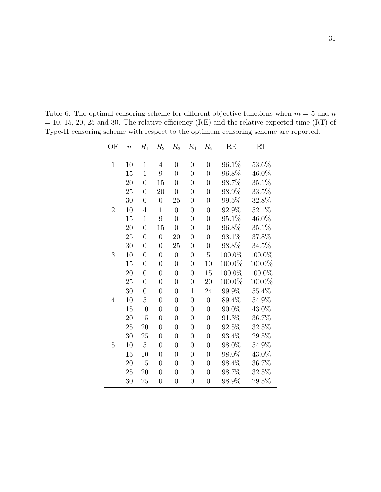Table 6: The optimal censoring scheme for different objective functions when  $m = 5$  and n  $= 10, 15, 20, 25$  and 30. The relative efficiency (RE) and the relative expected time (RT) of Type-II censoring scheme with respect to the optimum censoring scheme are reported.

| $\overline{\text{OF}}$ | $\boldsymbol{n}$ | $R_{1}$          | $R_2$          | $R_3$            | $R_{4}$          | $R_5$          | RE                  | $\overline{\text{RT}}$ |
|------------------------|------------------|------------------|----------------|------------------|------------------|----------------|---------------------|------------------------|
|                        |                  |                  |                |                  |                  |                |                     |                        |
| $\mathbf{1}$           | 10               | $\mathbf{1}$     | 4              | $\overline{0}$   | $\overline{0}$   | $\overline{0}$ | 96.1%               | 53.6%                  |
|                        | 15               | $\mathbf{1}$     | 9              | $\overline{0}$   | $\overline{0}$   | $\overline{0}$ | 96.8%               | 46.0%                  |
|                        | 20               | $\overline{0}$   | 15             | $\overline{0}$   | $\overline{0}$   | $\overline{0}$ | 98.7%               | 35.1%                  |
|                        | 25               | $\overline{0}$   | 20             | $\overline{0}$   | $\overline{0}$   | $\overline{0}$ | 98.9%               | $33.5\%$               |
|                        | 30               | $\overline{0}$   | $\overline{0}$ | 25               | $\overline{0}$   | $\overline{0}$ | 99.5%               | 32.8%                  |
| $\overline{2}$         | 10               | $\overline{4}$   | $\mathbf{1}$   | $\overline{0}$   | $\overline{0}$   | $\overline{0}$ | 92.9%               | 52.1%                  |
|                        | 15               | $\mathbf{1}$     | 9              | $\overline{0}$   | $\overline{0}$   | $\overline{0}$ | 95.1%               | 46.0%                  |
|                        | 20               | $\overline{0}$   | 15             | $\overline{0}$   | $\overline{0}$   | $\overline{0}$ | 96.8%               | 35.1%                  |
|                        | 25               | $\overline{0}$   | $\overline{0}$ | 20               | $\overline{0}$   | $\overline{0}$ | 98.1%               | 37.8%                  |
|                        | 30               | $\overline{0}$   | $\overline{0}$ | 25               | $\boldsymbol{0}$ | $\overline{0}$ | 98.8%               | $34.5\%$               |
| 3                      | 10               | $\overline{0}$   | $\overline{0}$ | $\overline{0}$   | $\overline{0}$   | $\overline{5}$ | 100.0%              | 100.0%                 |
|                        | 15               | $\overline{0}$   | $\overline{0}$ | $\overline{0}$   | $\overline{0}$   | 10             | 100.0%              | 100.0%                 |
|                        | 20               | $\overline{0}$   | $\overline{0}$ | $\overline{0}$   | $\overline{0}$   | 15             | 100.0%              | 100.0%                 |
|                        | 25               | $\overline{0}$   | $\overline{0}$ | $\overline{0}$   | $\overline{0}$   | 20             | 100.0%              | 100.0%                 |
|                        | 30               | $\boldsymbol{0}$ | $\overline{0}$ | $\boldsymbol{0}$ | $\mathbf{1}$     | 24             | 99.9%               | 55.4\%                 |
| 4                      | 10               | $\overline{5}$   | $\overline{0}$ | $\overline{0}$   | $\overline{0}$   | $\overline{0}$ | $89.4\%$            | $54.9\%$               |
|                        | 15               | 10               | $\overline{0}$ | $\overline{0}$   | $\overline{0}$   | $\overline{0}$ | 90.0%               | 43.0%                  |
|                        | 20               | 15               | $\overline{0}$ | $\overline{0}$   | $\overline{0}$   | $\overline{0}$ | 91.3%               | 36.7%                  |
|                        | 25               | 20               | $\overline{0}$ | $\overline{0}$   | $\overline{0}$   | $\overline{0}$ | $92.5\%$            | 32.5%                  |
|                        | 30               | 25               | $\overline{0}$ | $\overline{0}$   | $\overline{0}$   | $\overline{0}$ | 93.4%               | $29.5\%$               |
| 5                      | 10               | 5                | $\overline{0}$ | $\overline{0}$   | $\overline{0}$   | $\overline{0}$ | $98.\overline{0\%}$ | 54.9%                  |
|                        | 15               | 10               | $\overline{0}$ | $\overline{0}$   | $\overline{0}$   | $\overline{0}$ | 98.0%               | 43.0%                  |
|                        | 20               | 15               | $\overline{0}$ | $\overline{0}$   | $\overline{0}$   | $\overline{0}$ | 98.4%               | $36.7\%$               |
|                        | 25               | 20               | $\overline{0}$ | $\overline{0}$   | $\overline{0}$   | $\overline{0}$ | 98.7%               | $32.5\%$               |
|                        | 30               | 25               | $\overline{0}$ | $\overline{0}$   | $\overline{0}$   | $\overline{0}$ | 98.9%               | $29.5\%$               |